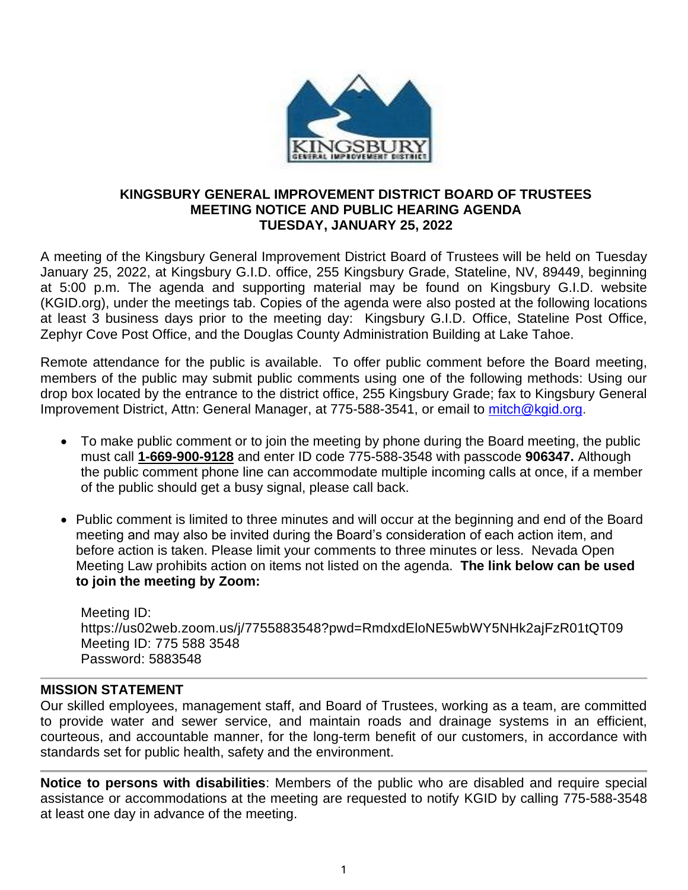

#### **KINGSBURY GENERAL IMPROVEMENT DISTRICT BOARD OF TRUSTEES MEETING NOTICE AND PUBLIC HEARING AGENDA TUESDAY, JANUARY 25, 2022**

A meeting of the Kingsbury General Improvement District Board of Trustees will be held on Tuesday January 25, 2022, at Kingsbury G.I.D. office, 255 Kingsbury Grade, Stateline, NV, 89449, beginning at 5:00 p.m. The agenda and supporting material may be found on Kingsbury G.I.D. website (KGID.org), under the meetings tab. Copies of the agenda were also posted at the following locations at least 3 business days prior to the meeting day: Kingsbury G.I.D. Office, Stateline Post Office, Zephyr Cove Post Office, and the Douglas County Administration Building at Lake Tahoe.

Remote attendance for the public is available. To offer public comment before the Board meeting, members of the public may submit public comments using one of the following methods: Using our drop box located by the entrance to the district office, 255 Kingsbury Grade; fax to Kingsbury General Improvement District, Attn: General Manager, at 775-588-3541, or email to [mitch@kgid.org.](mailto:mitch@kgid.org)

- To make public comment or to join the meeting by phone during the Board meeting, the public must call **1-669-900-9128** and enter ID code 775-588-3548 with passcode **906347.** Although the public comment phone line can accommodate multiple incoming calls at once, if a member of the public should get a busy signal, please call back.
- Public comment is limited to three minutes and will occur at the beginning and end of the Board meeting and may also be invited during the Board's consideration of each action item, and before action is taken. Please limit your comments to three minutes or less. Nevada Open Meeting Law prohibits action on items not listed on the agenda. **The link below can be used to join the meeting by Zoom:**

Meeting ID: https://us02web.zoom.us/j/7755883548?pwd=RmdxdEloNE5wbWY5NHk2ajFzR01tQT09 Meeting ID: 775 588 3548 Password: 5883548

### **MISSION STATEMENT**

Our skilled employees, management staff, and Board of Trustees, working as a team, are committed to provide water and sewer service, and maintain roads and drainage systems in an efficient, courteous, and accountable manner, for the long-term benefit of our customers, in accordance with standards set for public health, safety and the environment.

**Notice to persons with disabilities**: Members of the public who are disabled and require special assistance or accommodations at the meeting are requested to notify KGID by calling 775-588-3548 at least one day in advance of the meeting.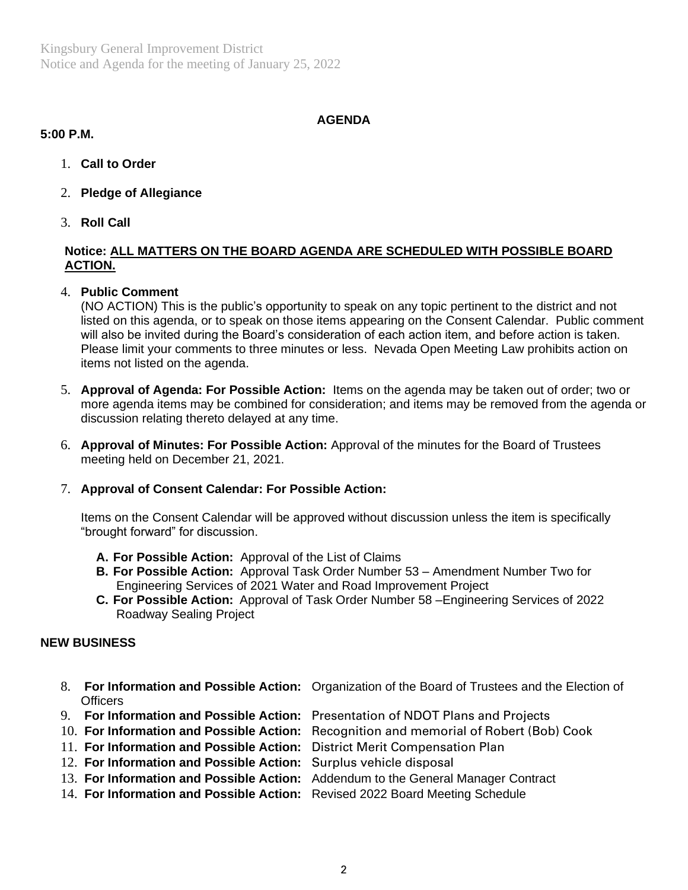Kingsbury General Improvement District Notice and Agenda for the meeting of January 25, 2022

### **AGENDA**

#### **5:00 P.M.**

- 1. **Call to Order**
- 2. **Pledge of Allegiance**
- 3. **Roll Call**

## **Notice: ALL MATTERS ON THE BOARD AGENDA ARE SCHEDULED WITH POSSIBLE BOARD ACTION.**

4. **Public Comment**

(NO ACTION) This is the public's opportunity to speak on any topic pertinent to the district and not listed on this agenda, or to speak on those items appearing on the Consent Calendar. Public comment will also be invited during the Board's consideration of each action item, and before action is taken. Please limit your comments to three minutes or less. Nevada Open Meeting Law prohibits action on items not listed on the agenda.

- 5. **Approval of Agenda: For Possible Action:** Items on the agenda may be taken out of order; two or more agenda items may be combined for consideration; and items may be removed from the agenda or discussion relating thereto delayed at any time.
- 6. **Approval of Minutes: For Possible Action:** Approval of the minutes for the Board of Trustees meeting held on December 21, 2021.

### 7. **Approval of Consent Calendar: For Possible Action:**

Items on the Consent Calendar will be approved without discussion unless the item is specifically "brought forward" for discussion.

- **A. For Possible Action:** Approval of the List of Claims
- **B. For Possible Action:** Approval Task Order Number 53 Amendment Number Two for Engineering Services of 2021 Water and Road Improvement Project
- **C. For Possible Action:** Approval of Task Order Number 58 –Engineering Services of 2022 Roadway Sealing Project

# **NEW BUSINESS**

- 8. **For Information and Possible Action:** Organization of the Board of Trustees and the Election of **Officers**
- 9. **For Information and Possible Action:** Presentation of NDOT Plans and Projects
- 10. **For Information and Possible Action:** Recognition and memorial of Robert (Bob) Cook
- 11. **For Information and Possible Action:** District Merit Compensation Plan
- 12. **For Information and Possible Action:** Surplus vehicle disposal
- 13. **For Information and Possible Action:** Addendum to the General Manager Contract
- 14. **For Information and Possible Action:** Revised 2022 Board Meeting Schedule